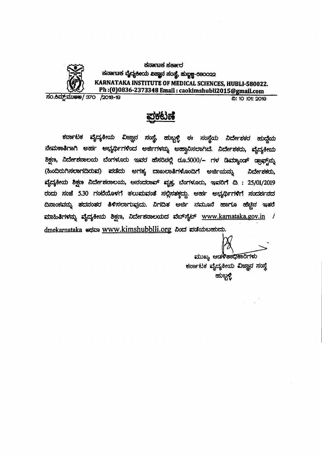

ಕರ್ನಾಟಕ ಸರ್ಕಾರ ಕರ್ನಾಟಕ ವೈದ್ಯಕೀಯ ವಿಜ್ಞಾನ ಸಂಸ್ಥೆ, ಹುಬ್ಬ<del>ಳ್</del>ಚ-58೦೦22 KARNATAKA INSTITUTE OF MEDICAL SCIENCES, HUBLI-580022.  $\langle\mathcal{X}\rangle$  Ph :(0)0836-2373348 Email : caokimshubli2015@gmail.com<br>R: 10:01:2013

**0: 10:01: 2019** 

# <u>ಪ್ರಕಟಣೆ</u>

 $~$ ಕರ್ನಾಟಕ ವೈದ್ಯಕೀಯ ವಿಜ್ಞಾನ ಸಂಸ್ಥೆ, ಹುಬ್ಬಳ್ಳಿ ಈ ಸಂಸ್ಥೆಯ ನಿರ್ದೇ*ಶ*ಕರ ಹುದ್ದೆಯ ನೇಮಕಾತಿಗಾಗಿ ಅರ್ಹ ಅಭ್ಯರ್ಥಿಗಳಿಂದ ಅರ್ಜಿಗಳನ್ನು ಅಹ್ವಾನಿಸಲಾಗಿದೆ. ನಿರ್ದೇಶಕರು, ವೈದ್ಯಕೀಯ ಶಿಕ್ಷಣ, ನಿರ್ದೇಶನಾಲಯ ಬೆಂಗಳೂರು ಇವರ ಹೆಸರಿನಲ್ಲಿ ರೂ.5000/<del>–</del> ಗಳ ಡಿಮ್ಯಾಂಡ್ ಡ್ರಾಫ್ಟ್<sup></sup>ನ್ನು (ಹಿಂದಿರುಗಿಸಲಾಗದಿರುವ) ಪಡೆದು ಅಗತ್ಯ ದಾಖಲಾತಿಗಳೊಂದಿಗೆ ಅರ್ಜಿಯನ್ನು ನಿರ್ದೇಶಕರು, ವೈದ್ಯಕೀಯ ಶಿಕ್ಷಣ ನಿರ್ದೇಶನಾಲಯ, ಆನಂದರಾವ್ ವೃತ್ತ, ಬೆಂಗಳೂರು, ಇವರಿಗೆ ದಿ : 25/01/2019 ರಂದು ಸಂಜೆ 5.30 ಗಂಟೆಯೊಳಗೆ ತಲು<mark>ಮವಂತೆ ಸಲ್ಲಿಸತಕ್ಷ</mark>ದ್ದು. ಅರ್ಹ ಅಭ್ಯರ್ಥಿಗಳಿಗೆ ಸಂದರ್ಶನದ ದಿನಾಂಕವನ್ನು ತದನಂತರ ತಿಳಿಸಲಾಗುವುದು. ನಿಗದಿತ ಅರ್ಜಿ ನಮೂನೆ ಹಾಗೂ ಹೆಚ್ಚಿನ ಇತ<mark>ರೆ</mark> ಮಾಹಿತಿಗಳನ್ನು ವೈದ್ಯಕೀಯ ಶಿಕ್ಷಣ, ನಿರ್ದೇಶನಾಲಯದ ವೆಬ್**ಸೈಟ್ <u>www.karnataka.gov.in</u> /** dmekarnataka edas www.kimshubblli.org doct etadouenco.

ಮುಖ್ಯ ಆಡಳಿತಾಧಿಕಾರಿಗಳು

 $~$ ಕರ್ನಾಟಕ ವೈದ್ಯಕೀಯ ವಿಜ್ಞಾನ ಸಂಸ್ಥೆ ಹುಬ್ಬಳ್ಳಿ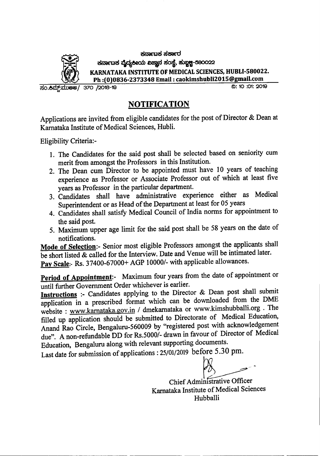

 $\vec{B}$ ರ್ನಾಚಿಕ ನಕಾ $\vec{B}$ ರ  $\pm$ ನಾ $\mp$ ಚಿತ ವೈದ್ಯಕೀಯ ವಿಜ್ಞಾನ ಸಂಸ್ಥೆ, ಹುಬ್ಬಣ್ಣ-580022 KARNATAKA INSTITUTE OF MEDICAL SCIENCES, HUBLI-580022. Ph :(0)0836-2373348 Email: caokimshubli2015@gmail.com<br>20: 10: 10: 2019

370 /2018-19  $\overline{30.8}$ ಮ್:ಮು $80/$ 

## **NOTIFICATION**

Applications are invited from eligible candidates for the post of Director & Dean at Karnataka Institute of Medical Sciences, Hubli.

Eligibility Criteria:-

- 1. The Candidates for the said post shall be selected based on seniority cum merit from amongst the Professors in this Institution.
- 2. The Dean cum Director to be appointed must have 10 years of teaching experience as Professor or Associate Professor out of which at least five years as Professor in the particular department.
- 3. Candidates shall have administrative experience either as Medical Superintendent or as Head of the Department at least for 05 years
- 4. Candidates shall satisfy Medical Council of India norms for appointment to the said post.
- 5. Maximum upper age limit for the said post shall be 58 years on the date of notifications.

Mode of Selection:- Senior most eligible Professors amongst the applicants shall be short listed & called for the Interview. Date and Venue will be intimated later. Pay Scale:- Rs. 37400-67000+ AGP 10000/- with applicable allowances.

Period of Appointment:- Maximum four years from the date of appointment or until further Government Order whichever is earlier.

Instructions :- Candidates applying to the Director & Dean post shall submit application in a prescribed format which can be downloaded from the DME website: www.karnataka.gov.in / dmekarnataka or www.kimshubballi.org . The filled up application should be submitted to Directorate of Medical Education, Anand Rao Circle, Bengaluru-560009 by "registered post with acknowledgement due". A non-refundable DD for Rs.5000/- drawn in favour of Director of Medical Education, Bengaluru along with relevant supporting documents.

Last date for submission of applications:  $25/01/2019$  before 5.30 pm.

ur of Director of<br>cuments.<br>
STE 5.30 pm.<br>
A<br>
M<br>
Mistrative Officer<br>
A<br>
A<br>
A<br>
A<br>
A<br>
A<br>
Stefaical Scie

Chief Administrative Officer Karnataka Institute of Medical Sciences Hubballi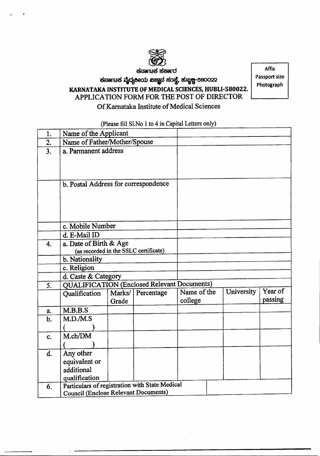

ಕನಾಣಕ ಸರ್ಕಾರ

## $\pm$ ನಾ $\epsilon$ ಚಿಕ ವೈದ್ಯಕೀಯ ವಿಜ್ಞಾನ ಸಂಸ್ಥೆ, ಹುಬ್ಬ $\bf g$ -580022 **KARNATAKA INSTITUTE OF MEDICAL SCIENCES,HUBLI-580022.** APPLICATION FORM FOR THE POST OF DIRECTOR Of Karnataka Institute of Medical Sciences

Affix Passport size Photograph

### (Please fill Sl.No 1 to 4 in Capital Letters only)

| 1.             | Name of the Applicant                                                                  |        |            |             |            |         |  |
|----------------|----------------------------------------------------------------------------------------|--------|------------|-------------|------------|---------|--|
| 2.             | Name of Father/Mother/Spouse                                                           |        |            |             |            |         |  |
| 3.             | a. Parmanent address                                                                   |        |            |             |            |         |  |
|                |                                                                                        |        |            |             |            |         |  |
|                |                                                                                        |        |            |             |            |         |  |
|                | b. Postal Address for correspondence                                                   |        |            |             |            |         |  |
|                |                                                                                        |        |            |             |            |         |  |
|                |                                                                                        |        |            |             |            |         |  |
|                |                                                                                        |        |            |             |            |         |  |
|                | c. Mobile Number                                                                       |        |            |             |            |         |  |
|                |                                                                                        |        |            |             |            |         |  |
|                | d. E-Mail ID                                                                           |        |            |             |            |         |  |
| 4.             | a. Date of Birth & Age<br>(as recorded in the SSLC certificate)                        |        |            |             |            |         |  |
|                | b. Nationality                                                                         |        |            |             |            |         |  |
|                | c. Religion                                                                            |        |            |             |            |         |  |
|                | d. Caste & Category                                                                    |        |            |             |            |         |  |
| 5.             | <b>QUALIFICATION (Enclosed Relevant Documents)</b>                                     |        |            |             |            |         |  |
|                | Qualification                                                                          | Marks/ | Percentage | Name of the | University | Year of |  |
|                |                                                                                        | Grade  |            | college     |            | passing |  |
| a.             | M.B.B.S                                                                                |        |            |             |            |         |  |
| $b$ .          | M.D.M.S                                                                                |        |            |             |            |         |  |
|                |                                                                                        |        |            |             |            |         |  |
| c.             | M.ch/DM                                                                                |        |            |             |            |         |  |
|                |                                                                                        |        |            |             |            |         |  |
| $\mathbf{d}$ . | Any other                                                                              |        |            |             |            |         |  |
|                | equivalent or                                                                          |        |            |             |            |         |  |
|                | additional                                                                             |        |            |             |            |         |  |
|                | qualification                                                                          |        |            |             |            |         |  |
| 6.             | Particulars of registration with State Medical<br>Council (Enclose Relevant Documents) |        |            |             |            |         |  |
|                |                                                                                        |        |            |             |            |         |  |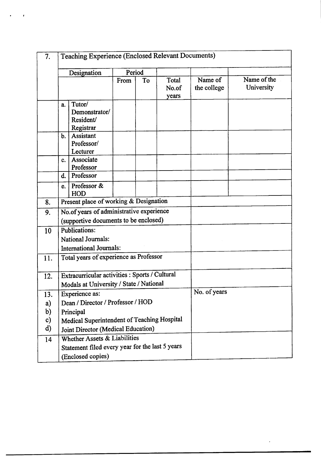| 7.            | Teaching Experience (Enclosed Relevant Documents)           |                                                                                           |    |                         |                        |                           |  |
|---------------|-------------------------------------------------------------|-------------------------------------------------------------------------------------------|----|-------------------------|------------------------|---------------------------|--|
|               | Designation                                                 | Period                                                                                    |    |                         |                        |                           |  |
|               |                                                             | From                                                                                      | To | Total<br>No.of<br>years | Name of<br>the college | Name of the<br>University |  |
|               | Tutor/<br>a.<br>Demonstrator/<br>Resident/<br>Registrar     |                                                                                           |    |                         |                        |                           |  |
|               | <b>Assistant</b><br>b.<br>Professor/<br>Lecturer            |                                                                                           |    |                         |                        |                           |  |
|               | Associate<br>C <sub>r</sub><br>Professor                    |                                                                                           |    |                         |                        |                           |  |
|               | Professor<br>d.                                             |                                                                                           |    |                         |                        |                           |  |
|               | Professor &<br>e.<br>HOD                                    |                                                                                           |    |                         |                        |                           |  |
| 8.            | Present place of working & Designation                      |                                                                                           |    |                         |                        |                           |  |
| 9.            |                                                             | No.of years of administrative experience                                                  |    |                         |                        |                           |  |
|               | (supportive documents to be enclosed)                       |                                                                                           |    |                         |                        |                           |  |
| 10            | <b>Publications:</b>                                        |                                                                                           |    |                         |                        |                           |  |
|               | <b>National Journals:</b><br><b>International Journals:</b> |                                                                                           |    |                         |                        |                           |  |
|               |                                                             |                                                                                           |    |                         |                        |                           |  |
| 11.           | Total years of experience as Professor                      |                                                                                           |    |                         |                        |                           |  |
| 12.           |                                                             | Extracurricular activities : Sports / Cultural<br>Modals at University / State / National |    |                         |                        |                           |  |
|               |                                                             |                                                                                           |    |                         |                        |                           |  |
| 13.           | <b>Experience as:</b>                                       |                                                                                           |    |                         | No. of years           |                           |  |
| a)            |                                                             | Dean / Director / Professor / HOD                                                         |    |                         |                        |                           |  |
| b)            | Principal                                                   |                                                                                           |    |                         |                        |                           |  |
| $\mathbf{c})$ | Medical Superintendent of Teaching Hospital                 |                                                                                           |    |                         |                        |                           |  |
| $\mathbf{d}$  | Joint Director (Medical Education)                          |                                                                                           |    |                         |                        |                           |  |
| 14            | Whether Assets & Liabilities                                |                                                                                           |    |                         |                        |                           |  |
|               | Statement filed every year for the last 5 years             |                                                                                           |    |                         |                        |                           |  |
|               | (Enclosed copies)                                           |                                                                                           |    |                         |                        |                           |  |